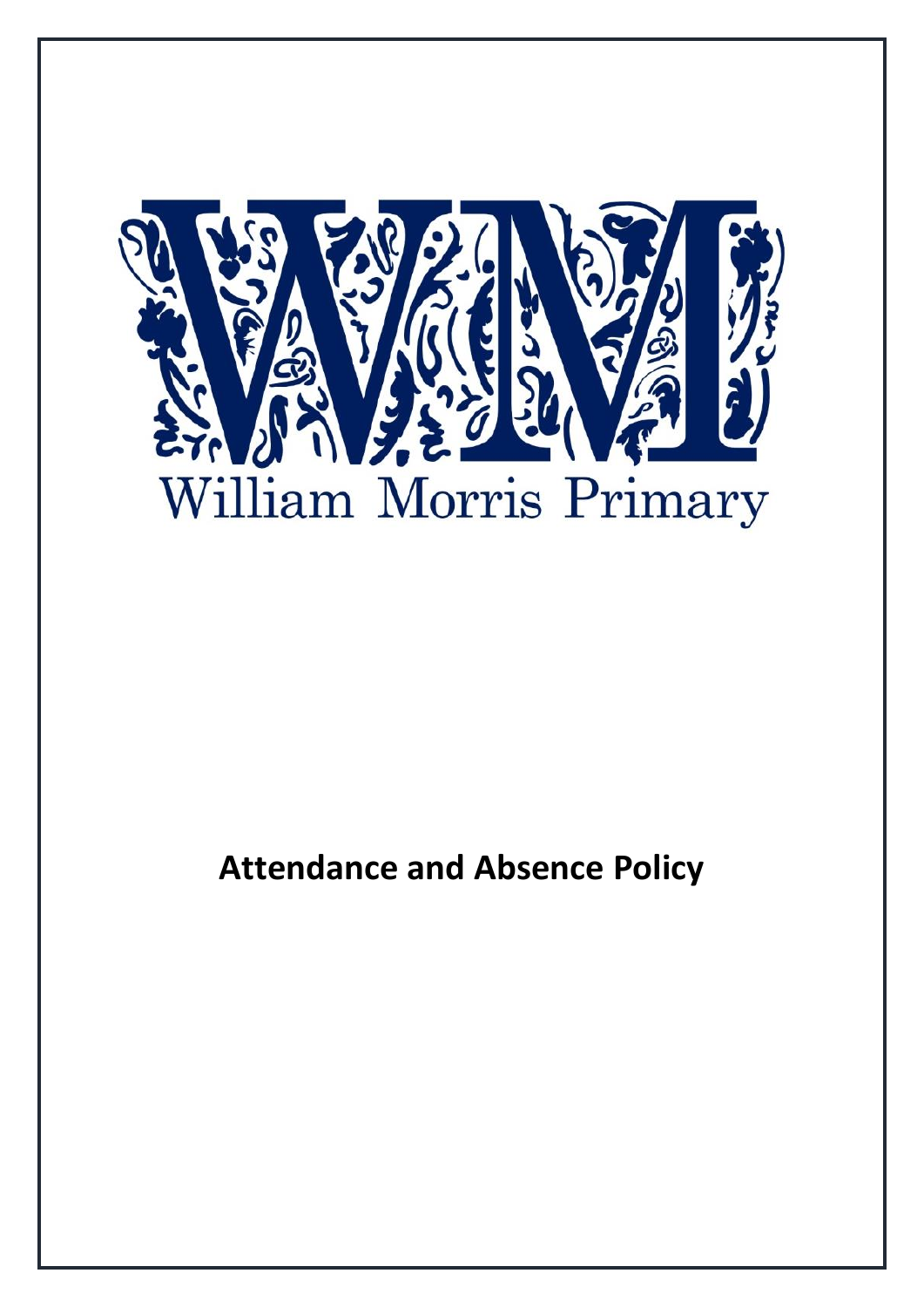

# **Attendance and Absence Policy**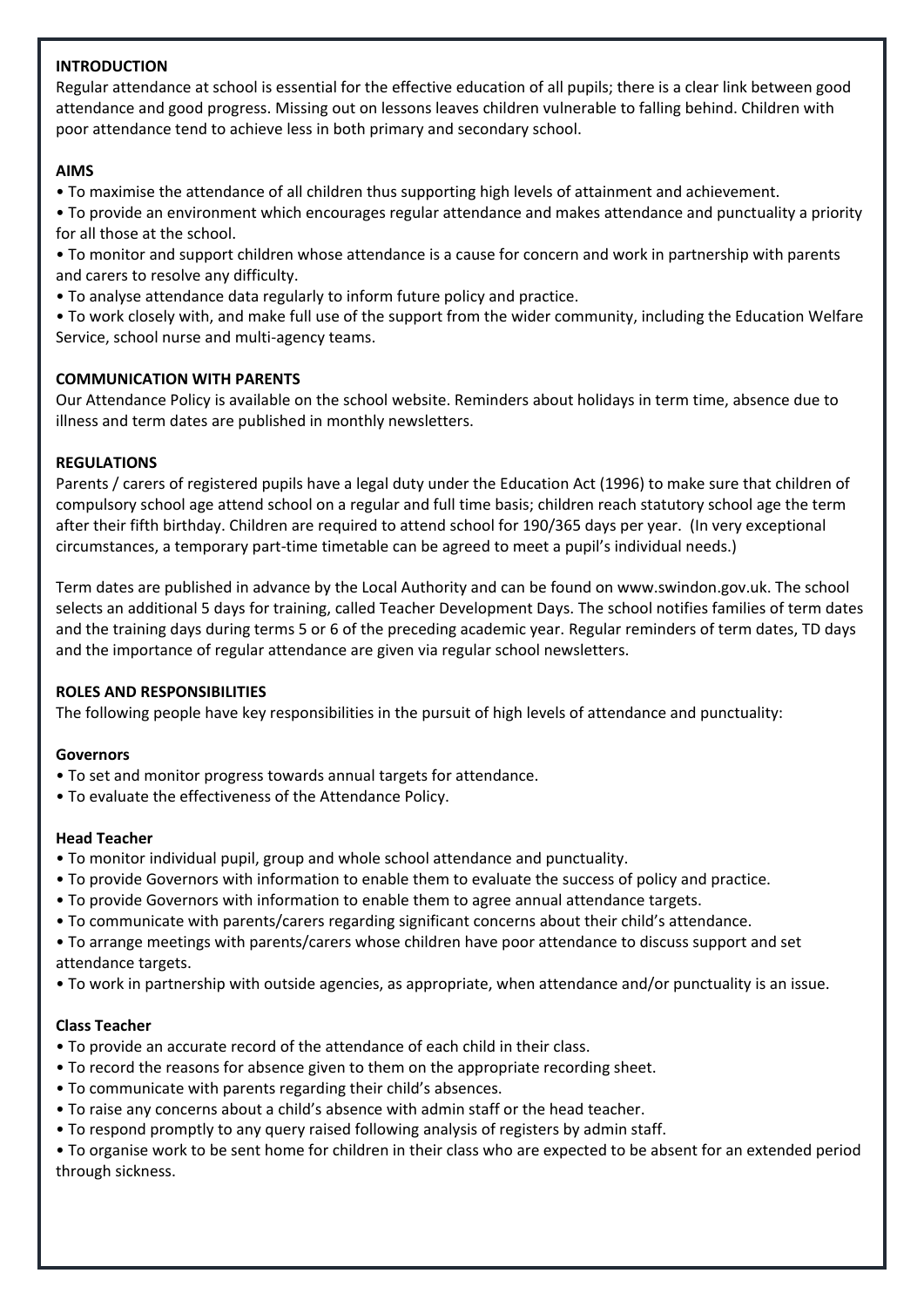### **INTRODUCTION**

Regular attendance at school is essential for the effective education of all pupils; there is a clear link between good attendance and good progress. Missing out on lessons leaves children vulnerable to falling behind. Children with poor attendance tend to achieve less in both primary and secondary school.

### **AIMS**

- To maximise the attendance of all children thus supporting high levels of attainment and achievement.
- To provide an environment which encourages regular attendance and makes attendance and punctuality a priority for all those at the school.
- To monitor and support children whose attendance is a cause for concern and work in partnership with parents and carers to resolve any difficulty.
- To analyse attendance data regularly to inform future policy and practice.
- To work closely with, and make full use of the support from the wider community, including the Education Welfare Service, school nurse and multi-agency teams.

### **COMMUNICATION WITH PARENTS**

Our Attendance Policy is available on the school website. Reminders about holidays in term time, absence due to illness and term dates are published in monthly newsletters.

### **REGULATIONS**

Parents / carers of registered pupils have a legal duty under the Education Act (1996) to make sure that children of compulsory school age attend school on a regular and full time basis; children reach statutory school age the term after their fifth birthday. Children are required to attend school for 190/365 days per year. (In very exceptional circumstances, a temporary part-time timetable can be agreed to meet a pupil's individual needs.)

Term dates are published in advance by the Local Authority and can be found on www.swindon.gov.uk. The school selects an additional 5 days for training, called Teacher Development Days. The school notifies families of term dates and the training days during terms 5 or 6 of the preceding academic year. Regular reminders of term dates, TD days and the importance of regular attendance are given via regular school newsletters.

### **ROLES AND RESPONSIBILITIES**

The following people have key responsibilities in the pursuit of high levels of attendance and punctuality:

### **Governors**

- To set and monitor progress towards annual targets for attendance.
- To evaluate the effectiveness of the Attendance Policy.

### **Head Teacher**

- To monitor individual pupil, group and whole school attendance and punctuality.
- To provide Governors with information to enable them to evaluate the success of policy and practice.
- To provide Governors with information to enable them to agree annual attendance targets.
- To communicate with parents/carers regarding significant concerns about their child's attendance.
- To arrange meetings with parents/carers whose children have poor attendance to discuss support and set attendance targets.
- To work in partnership with outside agencies, as appropriate, when attendance and/or punctuality is an issue.

# **Class Teacher**

- To provide an accurate record of the attendance of each child in their class.
- To record the reasons for absence given to them on the appropriate recording sheet.
- To communicate with parents regarding their child's absences.
- To raise any concerns about a child's absence with admin staff or the head teacher.
- To respond promptly to any query raised following analysis of registers by admin staff.

• To organise work to be sent home for children in their class who are expected to be absent for an extended period through sickness.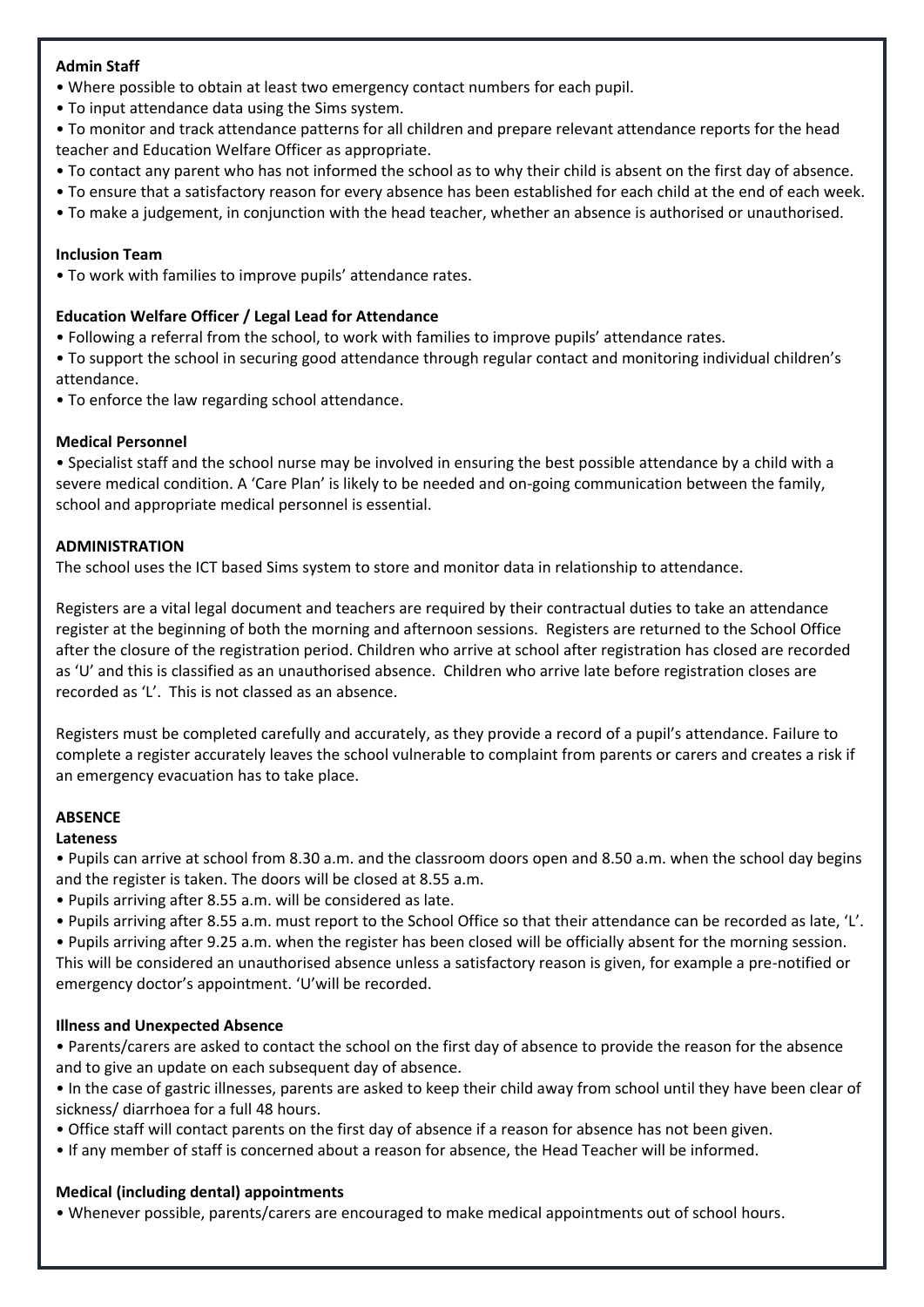### **Admin Staff**

- Where possible to obtain at least two emergency contact numbers for each pupil.
- To input attendance data using the Sims system.
- To monitor and track attendance patterns for all children and prepare relevant attendance reports for the head teacher and Education Welfare Officer as appropriate.
- To contact any parent who has not informed the school as to why their child is absent on the first day of absence.
- To ensure that a satisfactory reason for every absence has been established for each child at the end of each week.
- To make a judgement, in conjunction with the head teacher, whether an absence is authorised or unauthorised.

### **Inclusion Team**

• To work with families to improve pupils' attendance rates.

### **Education Welfare Officer / Legal Lead for Attendance**

- Following a referral from the school, to work with families to improve pupils' attendance rates.
- To support the school in securing good attendance through regular contact and monitoring individual children's attendance.
- To enforce the law regarding school attendance.

### **Medical Personnel**

• Specialist staff and the school nurse may be involved in ensuring the best possible attendance by a child with a severe medical condition. A 'Care Plan' is likely to be needed and on-going communication between the family, school and appropriate medical personnel is essential.

### **ADMINISTRATION**

The school uses the ICT based Sims system to store and monitor data in relationship to attendance.

Registers are a vital legal document and teachers are required by their contractual duties to take an attendance register at the beginning of both the morning and afternoon sessions. Registers are returned to the School Office after the closure of the registration period. Children who arrive at school after registration has closed are recorded as 'U' and this is classified as an unauthorised absence. Children who arrive late before registration closes are recorded as 'L'. This is not classed as an absence.

Registers must be completed carefully and accurately, as they provide a record of a pupil's attendance. Failure to complete a register accurately leaves the school vulnerable to complaint from parents or carers and creates a risk if an emergency evacuation has to take place.

# **ABSENCE**

### **Lateness**

• Pupils can arrive at school from 8.30 a.m. and the classroom doors open and 8.50 a.m. when the school day begins and the register is taken. The doors will be closed at 8.55 a.m.

- Pupils arriving after 8.55 a.m. will be considered as late.
- Pupils arriving after 8.55 a.m. must report to the School Office so that their attendance can be recorded as late, 'L'.

• Pupils arriving after 9.25 a.m. when the register has been closed will be officially absent for the morning session. This will be considered an unauthorised absence unless a satisfactory reason is given, for example a pre-notified or emergency doctor's appointment. 'U'will be recorded.

# **Illness and Unexpected Absence**

- Parents/carers are asked to contact the school on the first day of absence to provide the reason for the absence and to give an update on each subsequent day of absence.
- In the case of gastric illnesses, parents are asked to keep their child away from school until they have been clear of sickness/ diarrhoea for a full 48 hours.
- Office staff will contact parents on the first day of absence if a reason for absence has not been given.
- If any member of staff is concerned about a reason for absence, the Head Teacher will be informed.

# **Medical (including dental) appointments**

• Whenever possible, parents/carers are encouraged to make medical appointments out of school hours.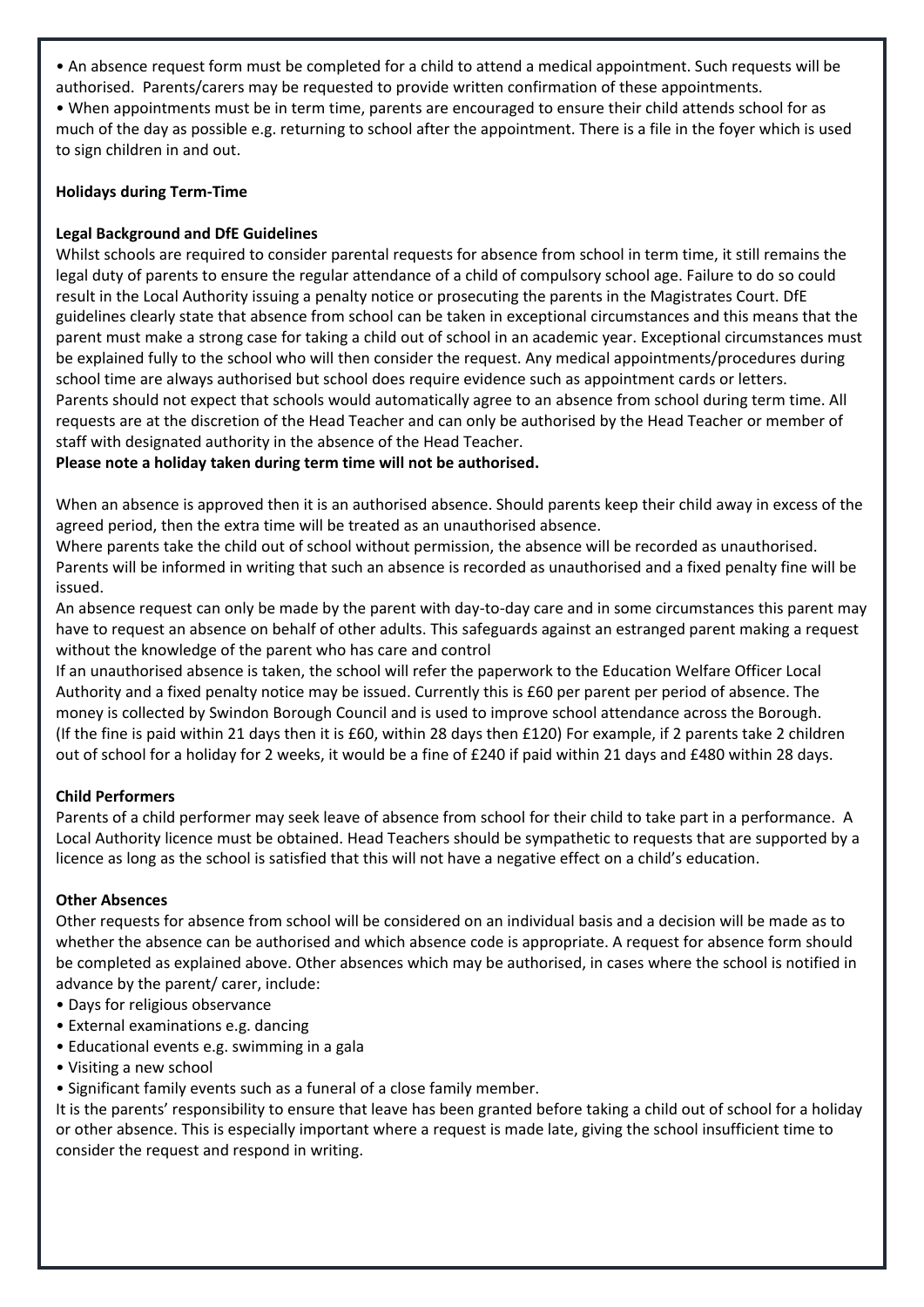• An absence request form must be completed for a child to attend a medical appointment. Such requests will be authorised. Parents/carers may be requested to provide written confirmation of these appointments. • When appointments must be in term time, parents are encouraged to ensure their child attends school for as much of the day as possible e.g. returning to school after the appointment. There is a file in the foyer which is used to sign children in and out.

### **Holidays during Term-Time**

### **Legal Background and DfE Guidelines**

Whilst schools are required to consider parental requests for absence from school in term time, it still remains the legal duty of parents to ensure the regular attendance of a child of compulsory school age. Failure to do so could result in the Local Authority issuing a penalty notice or prosecuting the parents in the Magistrates Court. DfE guidelines clearly state that absence from school can be taken in exceptional circumstances and this means that the parent must make a strong case for taking a child out of school in an academic year. Exceptional circumstances must be explained fully to the school who will then consider the request. Any medical appointments/procedures during school time are always authorised but school does require evidence such as appointment cards or letters. Parents should not expect that schools would automatically agree to an absence from school during term time. All requests are at the discretion of the Head Teacher and can only be authorised by the Head Teacher or member of staff with designated authority in the absence of the Head Teacher.

### **Please note a holiday taken during term time will not be authorised.**

When an absence is approved then it is an authorised absence. Should parents keep their child away in excess of the agreed period, then the extra time will be treated as an unauthorised absence.

Where parents take the child out of school without permission, the absence will be recorded as unauthorised. Parents will be informed in writing that such an absence is recorded as unauthorised and a fixed penalty fine will be issued.

An absence request can only be made by the parent with day-to-day care and in some circumstances this parent may have to request an absence on behalf of other adults. This safeguards against an estranged parent making a request without the knowledge of the parent who has care and control

If an unauthorised absence is taken, the school will refer the paperwork to the Education Welfare Officer Local Authority and a fixed penalty notice may be issued. Currently this is £60 per parent per period of absence. The money is collected by Swindon Borough Council and is used to improve school attendance across the Borough. (If the fine is paid within 21 days then it is £60, within 28 days then £120) For example, if 2 parents take 2 children out of school for a holiday for 2 weeks, it would be a fine of £240 if paid within 21 days and £480 within 28 days.

### **Child Performers**

Parents of a child performer may seek leave of absence from school for their child to take part in a performance. A Local Authority licence must be obtained. Head Teachers should be sympathetic to requests that are supported by a licence as long as the school is satisfied that this will not have a negative effect on a child's education.

### **Other Absences**

Other requests for absence from school will be considered on an individual basis and a decision will be made as to whether the absence can be authorised and which absence code is appropriate. A request for absence form should be completed as explained above. Other absences which may be authorised, in cases where the school is notified in advance by the parent/ carer, include:

- Days for religious observance
- External examinations e.g. dancing
- Educational events e.g. swimming in a gala
- Visiting a new school
- Significant family events such as a funeral of a close family member.

It is the parents' responsibility to ensure that leave has been granted before taking a child out of school for a holiday or other absence. This is especially important where a request is made late, giving the school insufficient time to consider the request and respond in writing.